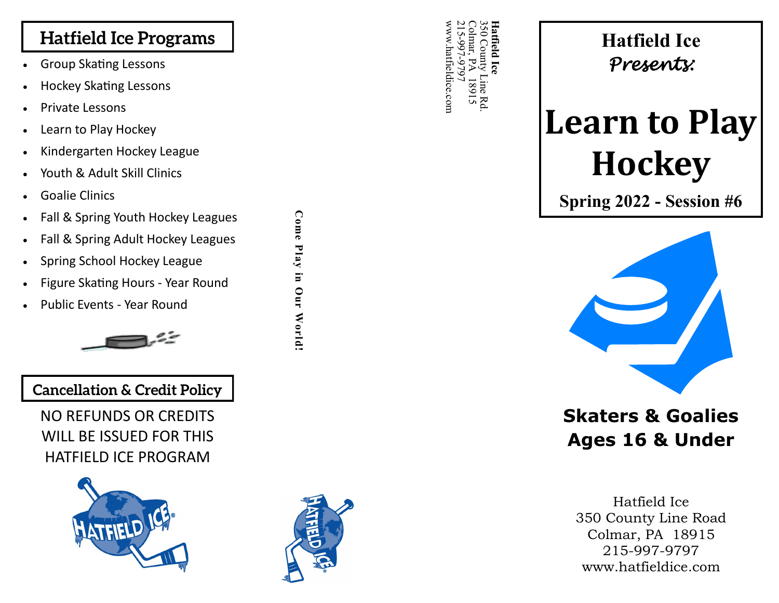## **Hatfield Ice Programs**

- Group Skating Lessons
- Hockey Skating Lessons
- Private Lessons
- Learn to Play Hockey
- Kindergarten Hockey League
- Youth & Adult Skill Clinics
- Goalie Clinics
- Fall & Spring Youth Hockey Leagues
- Fall & Spring Adult Hockey Leagues
- Spring School Hockey League

• Public Events - Year Round

- Figure Skating Hours Year Round
- 

**Come Play in Our World!**

Come Play in Our World!



### **Cancellation & Credit Policy**

NO REFUNDS OR CREDITS WILL BE ISSUED FOR THIS HATFIELD ICE PROGRAM





www.hatfieldice.com 215 Colmar, PA 18915 350 County Line Rd. **Hatfield Ice<br>350 County Line Re<br>201mar, PA 18915** ww.hatfieldice.com Rd

# **Hatfield Ice** *Presents:*

# **Learn to Play Hockey**

**Spring 2022 - Session #6**



# **Skaters & Goalies Ages 16 & Under**

Hatfield Ice 350 County Line Road Colmar, PA 18915 215 -997 -9797 www.hatfieldice.com